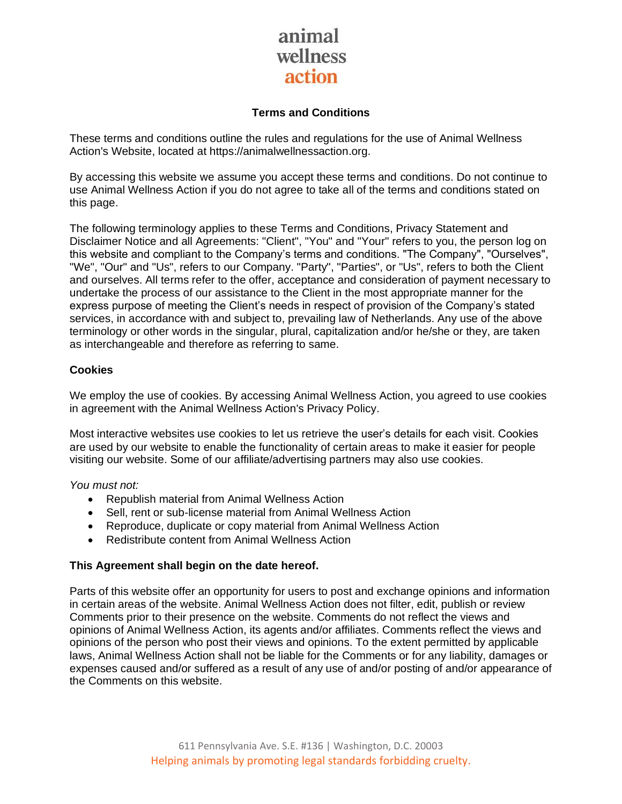### **Terms and Conditions**

These terms and conditions outline the rules and regulations for the use of Animal Wellness Action's Website, located at https://animalwellnessaction.org.

By accessing this website we assume you accept these terms and conditions. Do not continue to use Animal Wellness Action if you do not agree to take all of the terms and conditions stated on this page.

The following terminology applies to these Terms and Conditions, Privacy Statement and Disclaimer Notice and all Agreements: "Client", "You" and "Your" refers to you, the person log on this website and compliant to the Company's terms and conditions. "The Company", "Ourselves", "We", "Our" and "Us", refers to our Company. "Party", "Parties", or "Us", refers to both the Client and ourselves. All terms refer to the offer, acceptance and consideration of payment necessary to undertake the process of our assistance to the Client in the most appropriate manner for the express purpose of meeting the Client's needs in respect of provision of the Company's stated services, in accordance with and subject to, prevailing law of Netherlands. Any use of the above terminology or other words in the singular, plural, capitalization and/or he/she or they, are taken as interchangeable and therefore as referring to same.

### **Cookies**

We employ the use of cookies. By accessing Animal Wellness Action, you agreed to use cookies in agreement with the Animal Wellness Action's Privacy Policy.

Most interactive websites use cookies to let us retrieve the user's details for each visit. Cookies are used by our website to enable the functionality of certain areas to make it easier for people visiting our website. Some of our affiliate/advertising partners may also use cookies.

### *You must not:*

- Republish material from Animal Wellness Action
- Sell, rent or sub-license material from Animal Wellness Action
- Reproduce, duplicate or copy material from Animal Wellness Action
- Redistribute content from Animal Wellness Action

### **This Agreement shall begin on the date hereof.**

Parts of this website offer an opportunity for users to post and exchange opinions and information in certain areas of the website. Animal Wellness Action does not filter, edit, publish or review Comments prior to their presence on the website. Comments do not reflect the views and opinions of Animal Wellness Action, its agents and/or affiliates. Comments reflect the views and opinions of the person who post their views and opinions. To the extent permitted by applicable laws, Animal Wellness Action shall not be liable for the Comments or for any liability, damages or expenses caused and/or suffered as a result of any use of and/or posting of and/or appearance of the Comments on this website.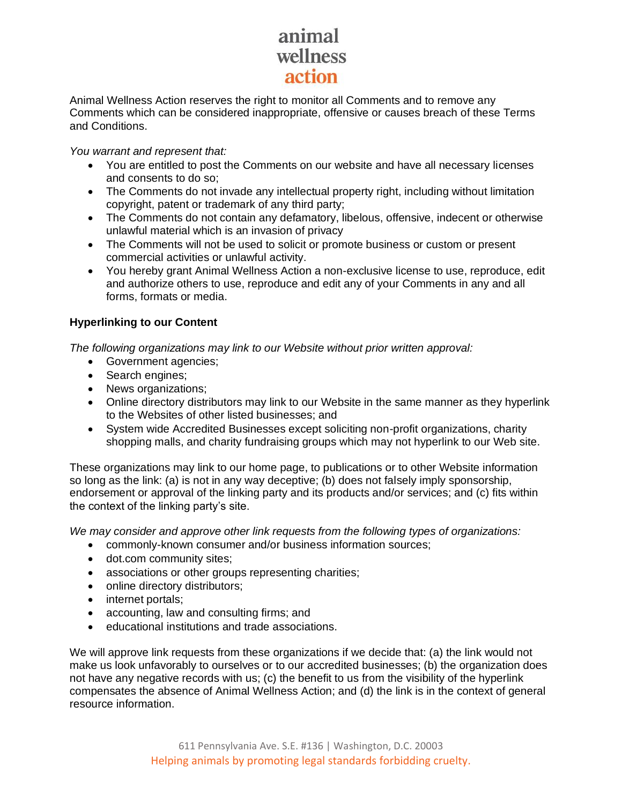Animal Wellness Action reserves the right to monitor all Comments and to remove any Comments which can be considered inappropriate, offensive or causes breach of these Terms and Conditions.

*You warrant and represent that:*

- You are entitled to post the Comments on our website and have all necessary licenses and consents to do so;
- The Comments do not invade any intellectual property right, including without limitation copyright, patent or trademark of any third party;
- The Comments do not contain any defamatory, libelous, offensive, indecent or otherwise unlawful material which is an invasion of privacy
- The Comments will not be used to solicit or promote business or custom or present commercial activities or unlawful activity.
- You hereby grant Animal Wellness Action a non-exclusive license to use, reproduce, edit and authorize others to use, reproduce and edit any of your Comments in any and all forms, formats or media.

### **Hyperlinking to our Content**

*The following organizations may link to our Website without prior written approval:*

- Government agencies;
- Search engines:
- News organizations;
- Online directory distributors may link to our Website in the same manner as they hyperlink to the Websites of other listed businesses; and
- System wide Accredited Businesses except soliciting non-profit organizations, charity shopping malls, and charity fundraising groups which may not hyperlink to our Web site.

These organizations may link to our home page, to publications or to other Website information so long as the link: (a) is not in any way deceptive; (b) does not falsely imply sponsorship, endorsement or approval of the linking party and its products and/or services; and (c) fits within the context of the linking party's site.

*We may consider and approve other link requests from the following types of organizations:*

- commonly-known consumer and/or business information sources;
- dot.com community sites;
- associations or other groups representing charities;
- online directory distributors;
- internet portals;
- accounting, law and consulting firms; and
- educational institutions and trade associations.

We will approve link requests from these organizations if we decide that: (a) the link would not make us look unfavorably to ourselves or to our accredited businesses; (b) the organization does not have any negative records with us; (c) the benefit to us from the visibility of the hyperlink compensates the absence of Animal Wellness Action; and (d) the link is in the context of general resource information.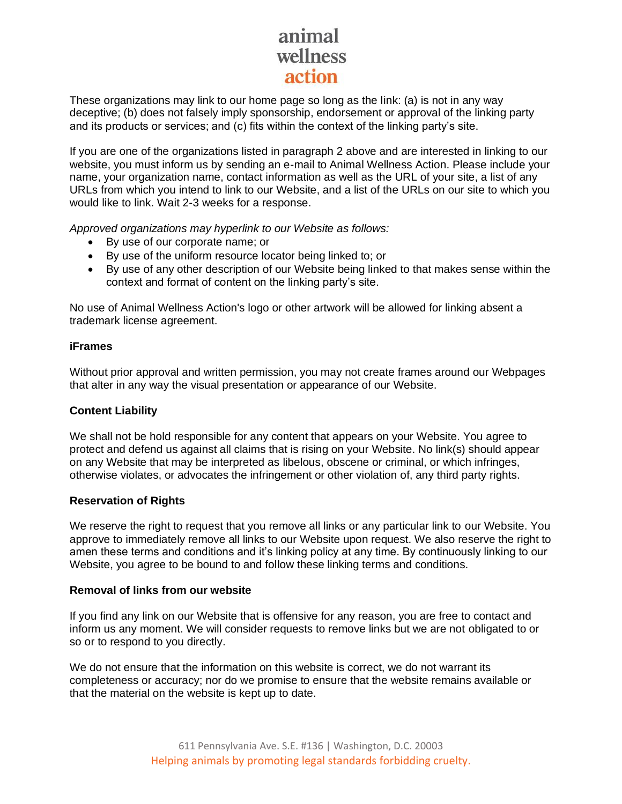These organizations may link to our home page so long as the link: (a) is not in any way deceptive; (b) does not falsely imply sponsorship, endorsement or approval of the linking party and its products or services; and (c) fits within the context of the linking party's site.

If you are one of the organizations listed in paragraph 2 above and are interested in linking to our website, you must inform us by sending an e-mail to Animal Wellness Action. Please include your name, your organization name, contact information as well as the URL of your site, a list of any URLs from which you intend to link to our Website, and a list of the URLs on our site to which you would like to link. Wait 2-3 weeks for a response.

*Approved organizations may hyperlink to our Website as follows:*

- By use of our corporate name; or
- By use of the uniform resource locator being linked to; or
- By use of any other description of our Website being linked to that makes sense within the context and format of content on the linking party's site.

No use of Animal Wellness Action's logo or other artwork will be allowed for linking absent a trademark license agreement.

### **iFrames**

Without prior approval and written permission, you may not create frames around our Webpages that alter in any way the visual presentation or appearance of our Website.

### **Content Liability**

We shall not be hold responsible for any content that appears on your Website. You agree to protect and defend us against all claims that is rising on your Website. No link(s) should appear on any Website that may be interpreted as libelous, obscene or criminal, or which infringes, otherwise violates, or advocates the infringement or other violation of, any third party rights.

### **Reservation of Rights**

We reserve the right to request that you remove all links or any particular link to our Website. You approve to immediately remove all links to our Website upon request. We also reserve the right to amen these terms and conditions and it's linking policy at any time. By continuously linking to our Website, you agree to be bound to and follow these linking terms and conditions.

### **Removal of links from our website**

If you find any link on our Website that is offensive for any reason, you are free to contact and inform us any moment. We will consider requests to remove links but we are not obligated to or so or to respond to you directly.

We do not ensure that the information on this website is correct, we do not warrant its completeness or accuracy; nor do we promise to ensure that the website remains available or that the material on the website is kept up to date.